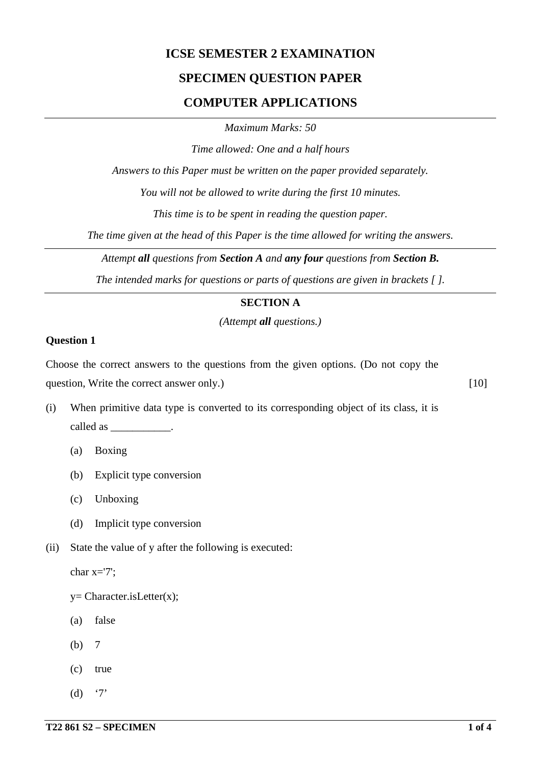# **ICSE SEMESTER 2 EXAMINATION**

# **SPECIMEN QUESTION PAPER**

# **COMPUTER APPLICATIONS**

*Maximum Marks: 50*

*Time allowed: One and a half hours*

*Answers to this Paper must be written on the paper provided separately.*

*You will not be allowed to write during the first 10 minutes.*

*This time is to be spent in reading the question paper.*

*The time given at the head of this Paper is the time allowed for writing the answers.*

*Attempt all questions from Section A and any four questions from Section B.*

*The intended marks for questions or parts of questions are given in brackets [ ].*

# **SECTION A**

*(Attempt all questions.)*

#### **Question 1**

Choose the correct answers to the questions from the given options. (Do not copy the question, Write the correct answer only.) [10]

- (i) When primitive data type is converted to its corresponding object of its class, it is called as  $\qquad \qquad$ 
	- (a) Boxing
	- (b) Explicit type conversion
	- (c) Unboxing
	- (d) Implicit type conversion
- (ii) State the value of y after the following is executed:

char x='7';

 $y=$  Character.is Letter $(x)$ ;

- (a) false
- (b) 7
- (c) true
- (d)  $'7'$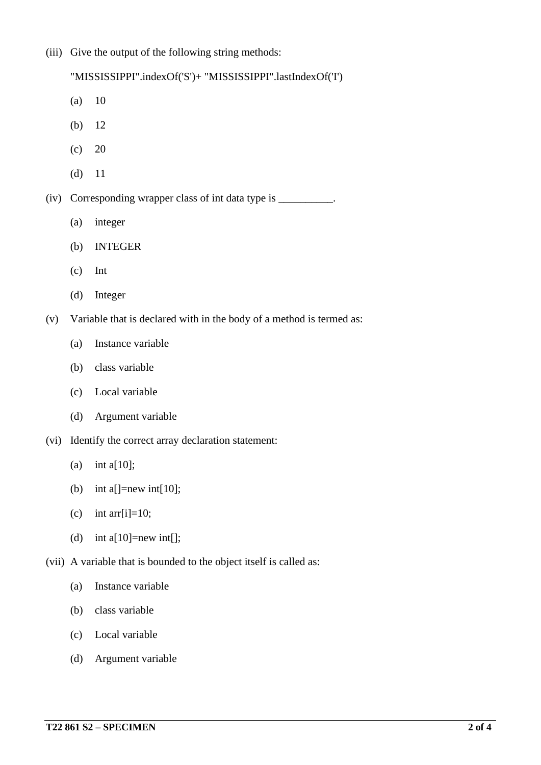(iii) Give the output of the following string methods:

"MISSISSIPPI".indexOf('S')+ "MISSISSIPPI".lastIndexOf('I')

- (a) 10
- (b) 12
- $(c) 20$
- (d) 11

(iv) Corresponding wrapper class of int data type is \_\_\_\_\_\_\_\_\_\_.

- (a) integer
- (b) INTEGER
- (c) Int
- (d) Integer
- (v) Variable that is declared with in the body of a method is termed as:
	- (a) Instance variable
	- (b) class variable
	- (c) Local variable
	- (d) Argument variable
- (vi) Identify the correct array declaration statement:
	- (a) int a[10];
	- (b) int a[]=new int[10];
	- (c) int arr[i]=10;
	- (d) int a[10]=new int[];
- (vii) A variable that is bounded to the object itself is called as:
	- (a) Instance variable
	- (b) class variable
	- (c) Local variable
	- (d) Argument variable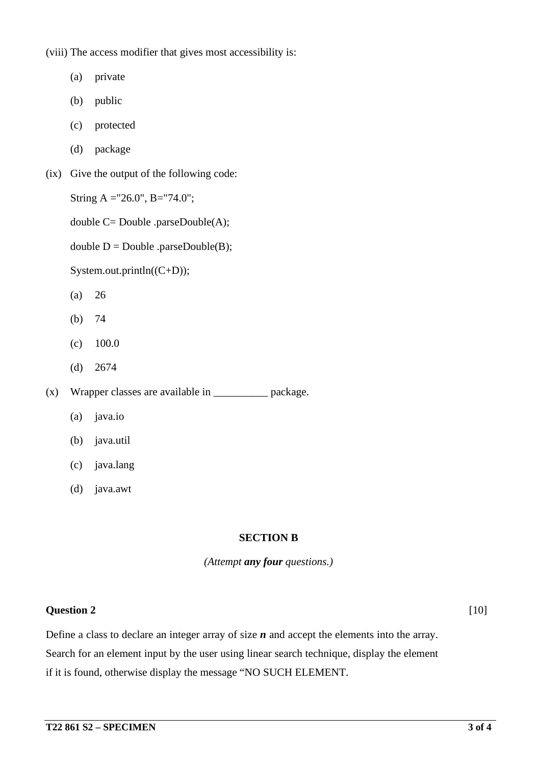(viii) The access modifier that gives most accessibility is:

- (a) private
- (b) public
- (c) protected
- (d) package
- (ix) Give the output of the following code:
	- String A ="26.0", B="74.0";
	- double C= Double .parseDouble(A);
	- double  $D = Double$  .parseDouble(B);

System.out.println((C+D));

- (a) 26
- (b) 74
- $(c)$  100.0
- (d) 2674

 $(x)$  Wrapper classes are available in  $\Box$  package.

- (a) java.io
- (b) java.util
- (c) java.lang
- (d) java.awt

## **SECTION B**

*(Attempt any four questions.)*

## **Question 2** [10]

Define a class to declare an integer array of size *n* and accept the elements into the array. Search for an element input by the user using linear search technique, display the element if it is found, otherwise display the message "NO SUCH ELEMENT.